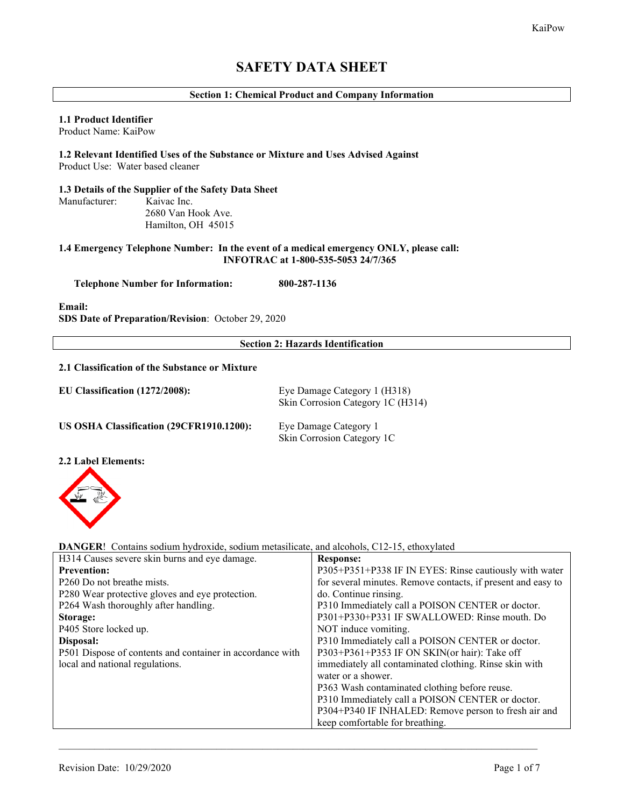# **SAFETY DATA SHEET**

## **Section 1: Chemical Product and Company Information**

## **1.1 Product Identifier**

Product Name: KaiPow

## **1.2 Relevant Identified Uses of the Substance or Mixture and Uses Advised Against** Product Use: Water based cleaner

#### **1.3 Details of the Supplier of the Safety Data Sheet** Manufacturer: Kaivac Inc.

 2680 Van Hook Ave. Hamilton, OH 45015

## **1.4 Emergency Telephone Number: In the event of a medical emergency ONLY, please call: INFOTRAC at 1-800-535-5053 24/7/365**

 **Telephone Number for Information: 800-287-1136**

**Email:**

**SDS Date of Preparation/Revision**: October 29, 2020

## **Section 2: Hazards Identification**

## **2.1 Classification of the Substance or Mixture**

| EU Classification (1272/2008):           | Eye Damage Category 1 (H318)<br>Skin Corrosion Category 1C (H314) |
|------------------------------------------|-------------------------------------------------------------------|
| US OSHA Classification (29CFR1910.1200): | Eye Damage Category 1<br>Skin Corrosion Category 1C               |

## **2.2 Label Elements:**



**DANGER**! Contains sodium hydroxide, sodium metasilicate, and alcohols, C12-15, ethoxylated

| H314 Causes severe skin burns and eye damage.             | <b>Response:</b>                                             |
|-----------------------------------------------------------|--------------------------------------------------------------|
| <b>Prevention:</b>                                        | P305+P351+P338 IF IN EYES: Rinse cautiously with water       |
| P <sub>260</sub> Do not breathe mists.                    | for several minutes. Remove contacts, if present and easy to |
| P280 Wear protective gloves and eye protection.           | do. Continue rinsing.                                        |
| P264 Wash thoroughly after handling.                      | P310 Immediately call a POISON CENTER or doctor.             |
| Storage:                                                  | P301+P330+P331 IF SWALLOWED: Rinse mouth. Do                 |
| P405 Store locked up.                                     | NOT induce vomiting.                                         |
| Disposal:                                                 | P310 Immediately call a POISON CENTER or doctor.             |
| P501 Dispose of contents and container in accordance with | P303+P361+P353 IF ON SKIN(or hair): Take off                 |
| local and national regulations.                           | immediately all contaminated clothing. Rinse skin with       |
|                                                           | water or a shower.                                           |
|                                                           | P363 Wash contaminated clothing before reuse.                |
|                                                           | P310 Immediately call a POISON CENTER or doctor.             |
|                                                           | P304+P340 IF INHALED: Remove person to fresh air and         |
|                                                           | keep comfortable for breathing.                              |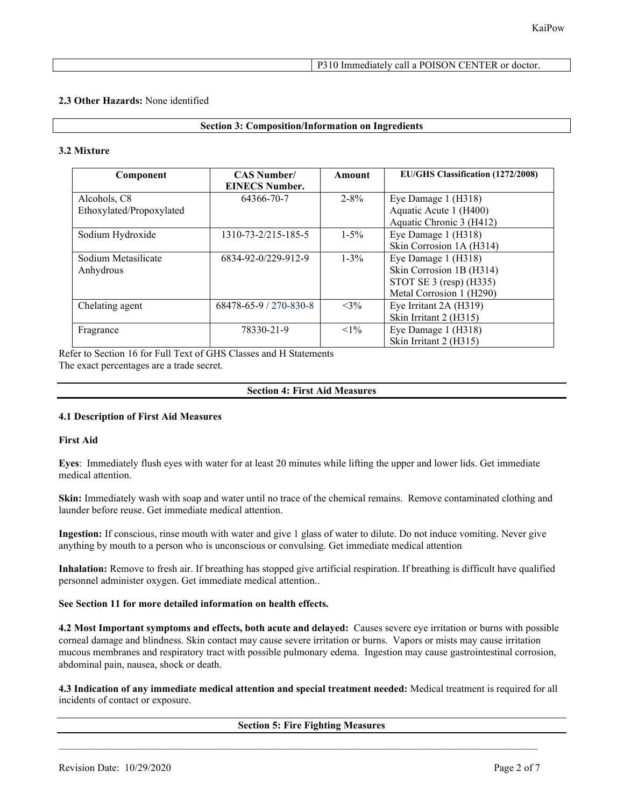## P310 Immediately call a POISON CENTER or doctor.

## **2.3 Other Hazards:** None identified

## **Section 3: Composition/Information on Ingredients**

## **3.2 Mixture**

| Component                | <b>CAS Number/</b><br><b>EINECS Number.</b> | Amount    | <b>EU/GHS Classification (1272/2008)</b> |
|--------------------------|---------------------------------------------|-----------|------------------------------------------|
| Alcohols, C8             | 64366-70-7                                  | $2 - 8\%$ | Eye Damage 1 (H318)                      |
| Ethoxylated/Propoxylated |                                             |           | Aquatic Acute 1 (H400)                   |
|                          |                                             |           | Aquatic Chronic 3 (H412)                 |
| Sodium Hydroxide         | 1310-73-2/215-185-5                         | $1 - 5\%$ | Eye Damage 1 (H318)                      |
|                          |                                             |           | Skin Corrosion 1A (H314)                 |
| Sodium Metasilicate      | 6834-92-0/229-912-9                         | $1 - 3\%$ | Eye Damage 1 (H318)                      |
| Anhydrous                |                                             |           | Skin Corrosion 1B (H314)                 |
|                          |                                             |           | STOT SE $3$ (resp) (H $335$ )            |
|                          |                                             |           | Metal Corrosion 1 (H290)                 |
| Chelating agent          | 68478-65-9 / 270-830-8                      | $<3\%$    | Eye Irritant 2A (H319)                   |
|                          |                                             |           | Skin Irritant 2 (H315)                   |
| Fragrance                | 78330-21-9                                  | $<1\%$    | Eye Damage 1 (H318)                      |
|                          |                                             |           | Skin Irritant 2 (H315)                   |

Refer to Section 16 for Full Text of GHS Classes and H Statements The exact percentages are a trade secret.

## **Section 4: First Aid Measures**

## **4.1 Description of First Aid Measures**

## **First Aid**

**Eyes**: Immediately flush eyes with water for at least 20 minutes while lifting the upper and lower lids. Get immediate medical attention.

**Skin:** Immediately wash with soap and water until no trace of the chemical remains. Remove contaminated clothing and launder before reuse. Get immediate medical attention.

**Ingestion:** If conscious, rinse mouth with water and give 1 glass of water to dilute. Do not induce vomiting. Never give anything by mouth to a person who is unconscious or convulsing. Get immediate medical attention

**Inhalation:** Remove to fresh air. If breathing has stopped give artificial respiration. If breathing is difficult have qualified personnel administer oxygen. Get immediate medical attention..

## **See Section 11 for more detailed information on health effects.**

**4.2 Most Important symptoms and effects, both acute and delayed:** Causes severe eye irritation or burns with possible corneal damage and blindness. Skin contact may cause severe irritation or burns. Vapors or mists may cause irritation mucous membranes and respiratory tract with possible pulmonary edema. Ingestion may cause gastrointestinal corrosion, abdominal pain, nausea, shock or death.

**4.3 Indication of any immediate medical attention and special treatment needed:** Medical treatment is required for all incidents of contact or exposure.

**Section 5: Fire Fighting Measures**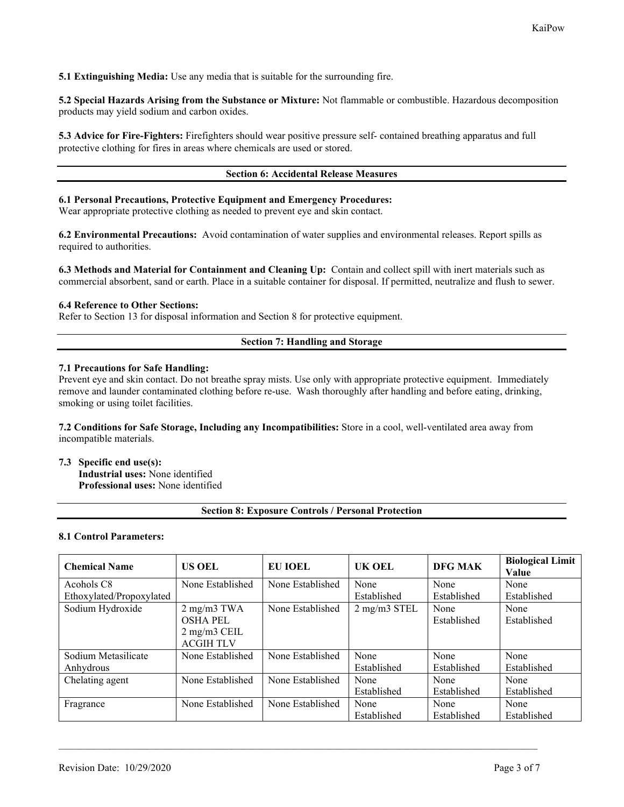**5.1 Extinguishing Media:** Use any media that is suitable for the surrounding fire.

**5.2 Special Hazards Arising from the Substance or Mixture:** Not flammable or combustible. Hazardous decomposition products may yield sodium and carbon oxides.

**5.3 Advice for Fire-Fighters:** Firefighters should wear positive pressure self- contained breathing apparatus and full protective clothing for fires in areas where chemicals are used or stored.

## **Section 6: Accidental Release Measures**

## **6.1 Personal Precautions, Protective Equipment and Emergency Procedures:**

Wear appropriate protective clothing as needed to prevent eye and skin contact.

**6.2 Environmental Precautions:** Avoid contamination of water supplies and environmental releases. Report spills as required to authorities.

**6.3 Methods and Material for Containment and Cleaning Up:** Contain and collect spill with inert materials such as commercial absorbent, sand or earth. Place in a suitable container for disposal. If permitted, neutralize and flush to sewer.

## **6.4 Reference to Other Sections:**

Refer to Section 13 for disposal information and Section 8 for protective equipment.

## **Section 7: Handling and Storage**

#### **7.1 Precautions for Safe Handling:**

Prevent eye and skin contact. Do not breathe spray mists. Use only with appropriate protective equipment. Immediately remove and launder contaminated clothing before re-use. Wash thoroughly after handling and before eating, drinking, smoking or using toilet facilities.

**7.2 Conditions for Safe Storage, Including any Incompatibilities:** Store in a cool, well-ventilated area away from incompatible materials.

## **7.3 Specific end use(s):**

**Industrial uses:** None identified **Professional uses:** None identified

#### **Section 8: Exposure Controls / Personal Protection**

#### **8.1 Control Parameters:**

| <b>Chemical Name</b>     | <b>US OEL</b>     | EU IOEL          | UK OEL                            | <b>DFG MAK</b> | <b>Biological Limit</b><br>Value |
|--------------------------|-------------------|------------------|-----------------------------------|----------------|----------------------------------|
| Acohols C8               | None Established  | None Established | None                              | None           | None                             |
| Ethoxylated/Propoxylated |                   |                  | Established                       | Established    | Established                      |
| Sodium Hydroxide         | $2$ mg/m $3$ TWA  | None Established | $2 \text{ mg/m}$ $3 \text{ STEL}$ | None           | None                             |
|                          | <b>OSHA PEL</b>   |                  |                                   | Established    | Established                      |
|                          | $2$ mg/m $3$ CEIL |                  |                                   |                |                                  |
|                          | <b>ACGIH TLV</b>  |                  |                                   |                |                                  |
| Sodium Metasilicate      | None Established  | None Established | None                              | None           | None                             |
| Anhydrous                |                   |                  | Established                       | Established    | Established                      |
| Chelating agent          | None Established  | None Established | None                              | None           | None                             |
|                          |                   |                  | Established                       | Established    | Established                      |
| Fragrance                | None Established  | None Established | None                              | None           | None                             |
|                          |                   |                  | Established                       | Established    | Established                      |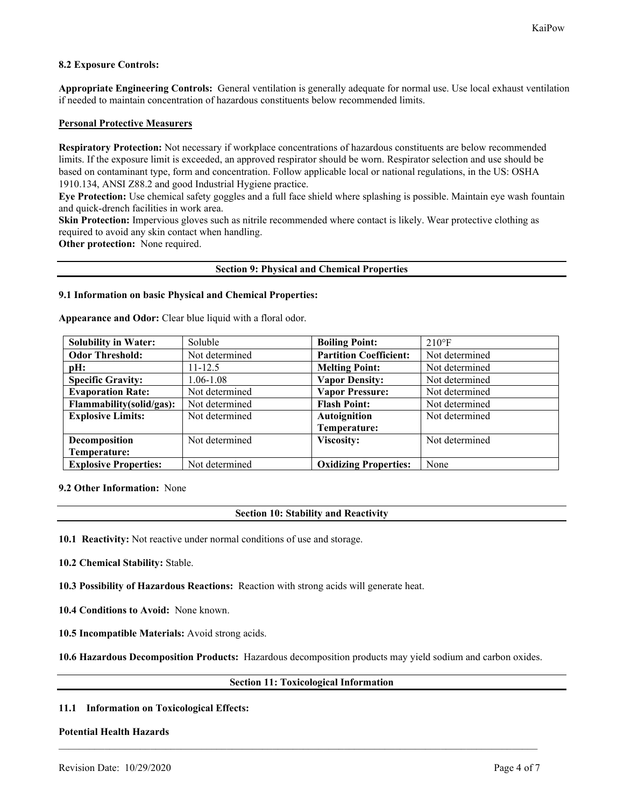## **8.2 Exposure Controls:**

**Appropriate Engineering Controls:** General ventilation is generally adequate for normal use. Use local exhaust ventilation if needed to maintain concentration of hazardous constituents below recommended limits.

## **Personal Protective Measurers**

**Respiratory Protection:** Not necessary if workplace concentrations of hazardous constituents are below recommended limits. If the exposure limit is exceeded, an approved respirator should be worn. Respirator selection and use should be based on contaminant type, form and concentration. Follow applicable local or national regulations, in the US: OSHA 1910.134, ANSI Z88.2 and good Industrial Hygiene practice.

**Eye Protection:** Use chemical safety goggles and a full face shield where splashing is possible. Maintain eye wash fountain and quick-drench facilities in work area.

**Skin Protection:** Impervious gloves such as nitrile recommended where contact is likely. Wear protective clothing as required to avoid any skin contact when handling.

**Other protection:** None required.

#### **Section 9: Physical and Chemical Properties**

### **9.1 Information on basic Physical and Chemical Properties:**

**Appearance and Odor:** Clear blue liquid with a floral odor.

| <b>Solubility in Water:</b>  | Soluble        | <b>Boiling Point:</b>         | $210^{\circ}F$ |
|------------------------------|----------------|-------------------------------|----------------|
| <b>Odor Threshold:</b>       | Not determined | <b>Partition Coefficient:</b> | Not determined |
| pH:                          | $11 - 12.5$    | <b>Melting Point:</b>         | Not determined |
| <b>Specific Gravity:</b>     | 1.06-1.08      | <b>Vapor Density:</b>         | Not determined |
| <b>Evaporation Rate:</b>     | Not determined | <b>Vapor Pressure:</b>        | Not determined |
| Flammability(solid/gas):     | Not determined | <b>Flash Point:</b>           | Not determined |
| <b>Explosive Limits:</b>     | Not determined | Autoignition                  | Not determined |
|                              |                | Temperature:                  |                |
| Decomposition                | Not determined | Viscosity:                    | Not determined |
| Temperature:                 |                |                               |                |
| <b>Explosive Properties:</b> | Not determined | <b>Oxidizing Properties:</b>  | None           |

#### **9.2 Other Information:** None

## **Section 10: Stability and Reactivity**

**10.1 Reactivity:** Not reactive under normal conditions of use and storage.

**10.2 Chemical Stability:** Stable.

**10.3 Possibility of Hazardous Reactions:** Reaction with strong acids will generate heat.

**10.4 Conditions to Avoid:** None known.

**10.5 Incompatible Materials:** Avoid strong acids.

**10.6 Hazardous Decomposition Products:** Hazardous decomposition products may yield sodium and carbon oxides.

 $\mathcal{L}_\mathcal{L} = \{ \mathcal{L}_\mathcal{L} = \{ \mathcal{L}_\mathcal{L} = \{ \mathcal{L}_\mathcal{L} = \{ \mathcal{L}_\mathcal{L} = \{ \mathcal{L}_\mathcal{L} = \{ \mathcal{L}_\mathcal{L} = \{ \mathcal{L}_\mathcal{L} = \{ \mathcal{L}_\mathcal{L} = \{ \mathcal{L}_\mathcal{L} = \{ \mathcal{L}_\mathcal{L} = \{ \mathcal{L}_\mathcal{L} = \{ \mathcal{L}_\mathcal{L} = \{ \mathcal{L}_\mathcal{L} = \{ \mathcal{L}_\mathcal{$ 

## **Section 11: Toxicological Information**

## **11.1 Information on Toxicological Effects:**

#### **Potential Health Hazards**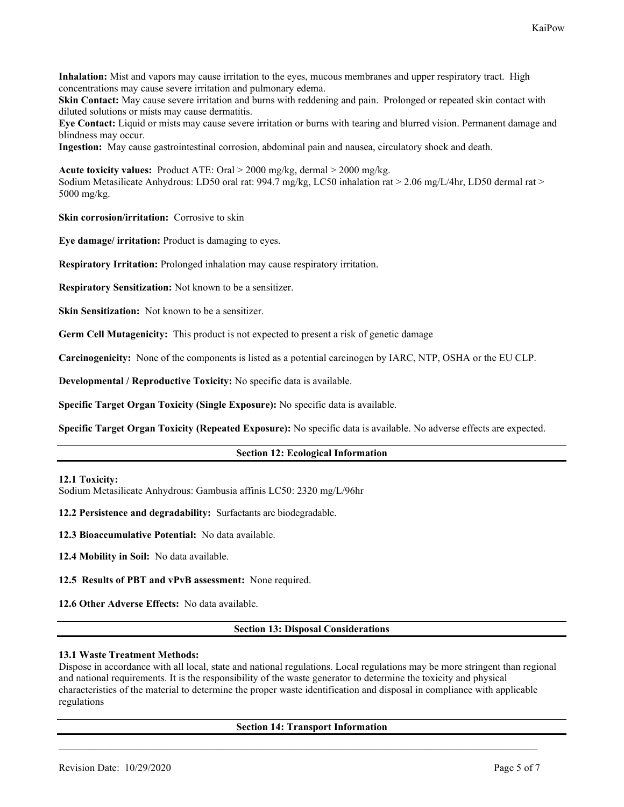**Inhalation:** Mist and vapors may cause irritation to the eyes, mucous membranes and upper respiratory tract. High concentrations may cause severe irritation and pulmonary edema.

**Skin Contact:** May cause severe irritation and burns with reddening and pain. Prolonged or repeated skin contact with diluted solutions or mists may cause dermatitis.

**Eye Contact:** Liquid or mists may cause severe irritation or burns with tearing and blurred vision. Permanent damage and blindness may occur.

**Ingestion:** May cause gastrointestinal corrosion, abdominal pain and nausea, circulatory shock and death.

**Acute toxicity values:** Product ATE: Oral > 2000 mg/kg, dermal > 2000 mg/kg. Sodium Metasilicate Anhydrous: LD50 oral rat: 994.7 mg/kg, LC50 inhalation rat > 2.06 mg/L/4hr, LD50 dermal rat > 5000 mg/kg.

**Skin corrosion/irritation:** Corrosive to skin

**Eye damage/ irritation:** Product is damaging to eyes.

**Respiratory Irritation:** Prolonged inhalation may cause respiratory irritation.

**Respiratory Sensitization:** Not known to be a sensitizer.

**Skin Sensitization:** Not known to be a sensitizer.

**Germ Cell Mutagenicity:** This product is not expected to present a risk of genetic damage

**Carcinogenicity:** None of the components is listed as a potential carcinogen by IARC, NTP, OSHA or the EU CLP.

**Developmental / Reproductive Toxicity:** No specific data is available.

**Specific Target Organ Toxicity (Single Exposure):** No specific data is available.

**Specific Target Organ Toxicity (Repeated Exposure):** No specific data is available. No adverse effects are expected.

#### **Section 12: Ecological Information**

#### **12.1 Toxicity:**

Sodium Metasilicate Anhydrous: Gambusia affinis LC50: 2320 mg/L/96hr

**12.2 Persistence and degradability:** Surfactants are biodegradable.

**12.3 Bioaccumulative Potential:** No data available.

**12.4 Mobility in Soil:** No data available.

**12.5 Results of PBT and vPvB assessment:** None required.

**12.6 Other Adverse Effects:** No data available.

#### **Section 13: Disposal Considerations**

#### **13.1 Waste Treatment Methods:**

Dispose in accordance with all local, state and national regulations. Local regulations may be more stringent than regional and national requirements. It is the responsibility of the waste generator to determine the toxicity and physical characteristics of the material to determine the proper waste identification and disposal in compliance with applicable regulations

#### **Section 14: Transport Information**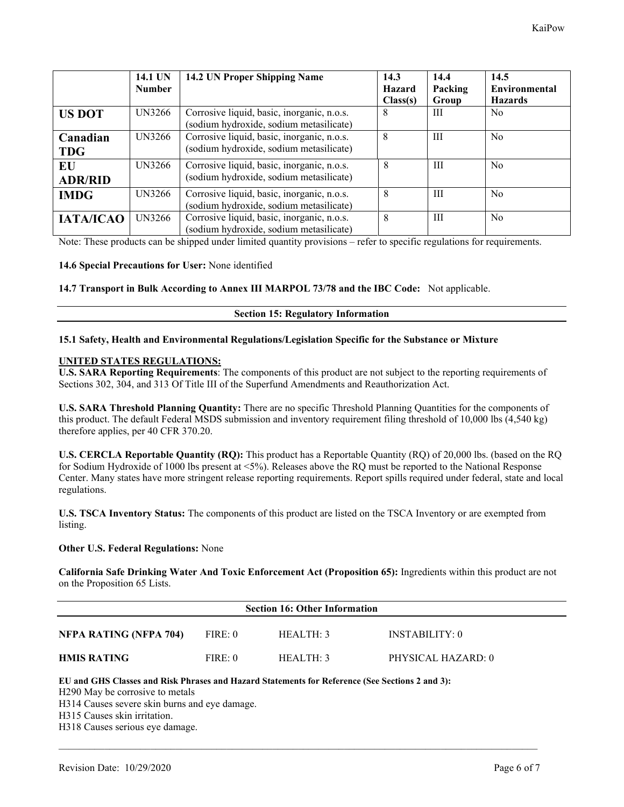|                        | 14.1 UN<br><b>Number</b> | 14.2 UN Proper Shipping Name                                                          | 14.3<br>Hazard<br>Class(s) | 14.4<br>Packing<br>Group | 14.5<br><b>Environmental</b><br><b>Hazards</b> |
|------------------------|--------------------------|---------------------------------------------------------------------------------------|----------------------------|--------------------------|------------------------------------------------|
| <b>US DOT</b>          | <b>UN3266</b>            | Corrosive liquid, basic, inorganic, n.o.s.<br>(sodium hydroxide, sodium metasilicate) | 8                          | Ш                        | N <sub>o</sub>                                 |
| Canadian<br><b>TDG</b> | UN3266                   | Corrosive liquid, basic, inorganic, n.o.s.<br>(sodium hydroxide, sodium metasilicate) | 8                          | Ш                        | N <sub>o</sub>                                 |
| EU<br><b>ADR/RID</b>   | <b>UN3266</b>            | Corrosive liquid, basic, inorganic, n.o.s.<br>(sodium hydroxide, sodium metasilicate) | 8                          | Ш                        | N <sub>o</sub>                                 |
| <b>IMDG</b>            | UN3266                   | Corrosive liquid, basic, inorganic, n.o.s.<br>(sodium hydroxide, sodium metasilicate) | 8                          | Ш                        | N <sub>o</sub>                                 |
| <b>IATA/ICAO</b>       | <b>UN3266</b>            | Corrosive liquid, basic, inorganic, n.o.s.<br>(sodium hydroxide, sodium metasilicate) | 8                          | Ш                        | N <sub>o</sub>                                 |

Note: These products can be shipped under limited quantity provisions – refer to specific regulations for requirements.

## **14.6 Special Precautions for User:** None identified

#### **14.7 Transport in Bulk According to Annex III MARPOL 73/78 and the IBC Code:** Not applicable.

## **Section 15: Regulatory Information**

## **15.1 Safety, Health and Environmental Regulations/Legislation Specific for the Substance or Mixture**

## **UNITED STATES REGULATIONS:**

**U.S. SARA Reporting Requirements**: The components of this product are not subject to the reporting requirements of Sections 302, 304, and 313 Of Title III of the Superfund Amendments and Reauthorization Act.

**U.S. SARA Threshold Planning Quantity:** There are no specific Threshold Planning Quantities for the components of this product. The default Federal MSDS submission and inventory requirement filing threshold of 10,000 lbs (4,540 kg) therefore applies, per 40 CFR 370.20.

**U.S. CERCLA Reportable Quantity (RQ):** This product has a Reportable Quantity (RQ) of 20,000 lbs. (based on the RQ for Sodium Hydroxide of 1000 lbs present at <5%). Releases above the RQ must be reported to the National Response Center. Many states have more stringent release reporting requirements. Report spills required under federal, state and local regulations.

**U.S. TSCA Inventory Status:** The components of this product are listed on the TSCA Inventory or are exempted from listing.

#### **Other U.S. Federal Regulations:** None

**California Safe Drinking Water And Toxic Enforcement Act (Proposition 65):** Ingredients within this product are not on the Proposition 65 Lists.

| <b>Section 16: Other Information</b> |         |           |                    |  |
|--------------------------------------|---------|-----------|--------------------|--|
| NFPA RATING (NFPA 704)               | FIRE: 0 | HEALTH: 3 | INSTABILITY: 0     |  |
| <b>HMIS RATING</b>                   | FIRE: 0 | HEAITH:3  | PHYSICAL HAZARD: 0 |  |

 $\mathcal{L}_\mathcal{L} = \{ \mathcal{L}_\mathcal{L} = \{ \mathcal{L}_\mathcal{L} = \{ \mathcal{L}_\mathcal{L} = \{ \mathcal{L}_\mathcal{L} = \{ \mathcal{L}_\mathcal{L} = \{ \mathcal{L}_\mathcal{L} = \{ \mathcal{L}_\mathcal{L} = \{ \mathcal{L}_\mathcal{L} = \{ \mathcal{L}_\mathcal{L} = \{ \mathcal{L}_\mathcal{L} = \{ \mathcal{L}_\mathcal{L} = \{ \mathcal{L}_\mathcal{L} = \{ \mathcal{L}_\mathcal{L} = \{ \mathcal{L}_\mathcal{$ 

#### **EU and GHS Classes and Risk Phrases and Hazard Statements for Reference (See Sections 2 and 3):**

H290 May be corrosive to metals

H314 Causes severe skin burns and eye damage.

H315 Causes skin irritation.

H318 Causes serious eye damage.